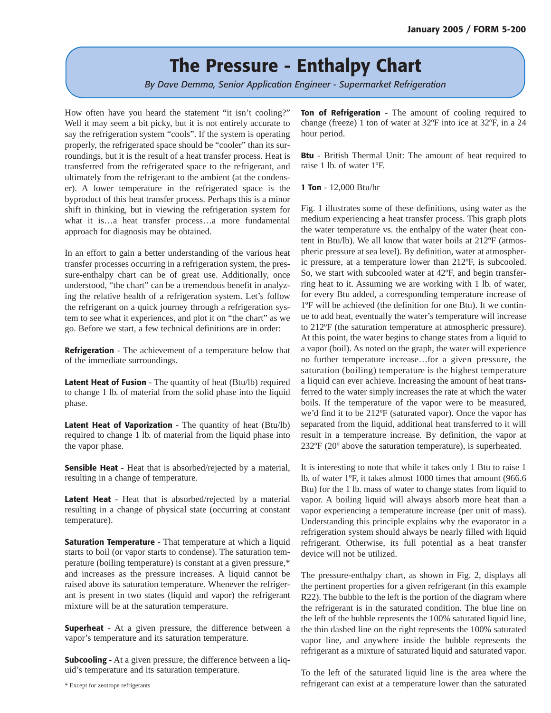# **The Pressure - Enthalpy Chart**

*By Dave Demma, Senior Application Engineer - Supermarket Refrigeration*

How often have you heard the statement "it isn't cooling?" Well it may seem a bit picky, but it is not entirely accurate to say the refrigeration system "cools". If the system is operating properly, the refrigerated space should be "cooler" than its surroundings, but it is the result of a heat transfer process. Heat is transferred from the refrigerated space to the refrigerant, and ultimately from the refrigerant to the ambient (at the condenser). A lower temperature in the refrigerated space is the byproduct of this heat transfer process. Perhaps this is a minor shift in thinking, but in viewing the refrigeration system for what it is…a heat transfer process…a more fundamental approach for diagnosis may be obtained.

In an effort to gain a better understanding of the various heat transfer processes occurring in a refrigeration system, the pressure-enthalpy chart can be of great use. Additionally, once understood, "the chart" can be a tremendous benefit in analyzing the relative health of a refrigeration system. Let's follow the refrigerant on a quick journey through a refrigeration system to see what it experiences, and plot it on "the chart" as we go. Before we start, a few technical definitions are in order:

**Refrigeration** - The achievement of a temperature below that of the immediate surroundings.

**Latent Heat of Fusion** - The quantity of heat (Btu/lb) required to change 1 lb. of material from the solid phase into the liquid phase.

**Latent Heat of Vaporization** - The quantity of heat (Btu/lb) required to change 1 lb. of material from the liquid phase into the vapor phase.

**Sensible Heat** - Heat that is absorbed/rejected by a material, resulting in a change of temperature.

**Latent Heat** - Heat that is absorbed/rejected by a material resulting in a change of physical state (occurring at constant temperature).

**Saturation Temperature** - That temperature at which a liquid starts to boil (or vapor starts to condense). The saturation temperature (boiling temperature) is constant at a given pressure,\* and increases as the pressure increases. A liquid cannot be raised above its saturation temperature. Whenever the refrigerant is present in two states (liquid and vapor) the refrigerant mixture will be at the saturation temperature.

**Superheat** - At a given pressure, the difference between a vapor's temperature and its saturation temperature.

**Subcooling** - At a given pressure, the difference between a liquid's temperature and its saturation temperature.

**Ton of Refrigeration** - The amount of cooling required to change (freeze) 1 ton of water at 32ºF into ice at 32ºF, in a 24 hour period.

**Btu** - British Thermal Unit: The amount of heat required to raise 1 lb. of water 1ºF.

**1 Ton** - 12,000 Btu/hr

Fig. 1 illustrates some of these definitions, using water as the medium experiencing a heat transfer process. This graph plots the water temperature vs. the enthalpy of the water (heat content in Btu/lb). We all know that water boils at 212ºF (atmospheric pressure at sea level). By definition, water at atmospheric pressure, at a temperature lower than 212ºF, is subcooled. So, we start with subcooled water at 42ºF, and begin transferring heat to it. Assuming we are working with 1 lb. of water, for every Btu added, a corresponding temperature increase of 1ºF will be achieved (the definition for one Btu). It we continue to add heat, eventually the water's temperature will increase to 212ºF (the saturation temperature at atmospheric pressure). At this point, the water begins to change states from a liquid to a vapor (boil). As noted on the graph, the water will experience no further temperature increase…for a given pressure, the saturation (boiling) temperature is the highest temperature a liquid can ever achieve. Increasing the amount of heat transferred to the water simply increases the rate at which the water boils. If the temperature of the vapor were to be measured, we'd find it to be 212ºF (saturated vapor). Once the vapor has separated from the liquid, additional heat transferred to it will result in a temperature increase. By definition, the vapor at 232ºF (20º above the saturation temperature), is superheated.

It is interesting to note that while it takes only 1 Btu to raise 1 lb. of water 1ºF, it takes almost 1000 times that amount (966.6 Btu) for the 1 lb. mass of water to change states from liquid to vapor. A boiling liquid will always absorb more heat than a vapor experiencing a temperature increase (per unit of mass). Understanding this principle explains why the evaporator in a refrigeration system should always be nearly filled with liquid refrigerant. Otherwise, its full potential as a heat transfer device will not be utilized.

The pressure-enthalpy chart, as shown in Fig. 2, displays all the pertinent properties for a given refrigerant (in this example R22). The bubble to the left is the portion of the diagram where the refrigerant is in the saturated condition. The blue line on the left of the bubble represents the 100% saturated liquid line, the thin dashed line on the right represents the 100% saturated vapor line, and anywhere inside the bubble represents the refrigerant as a mixture of saturated liquid and saturated vapor.

To the left of the saturated liquid line is the area where the refrigerant can exist at a temperature lower than the saturated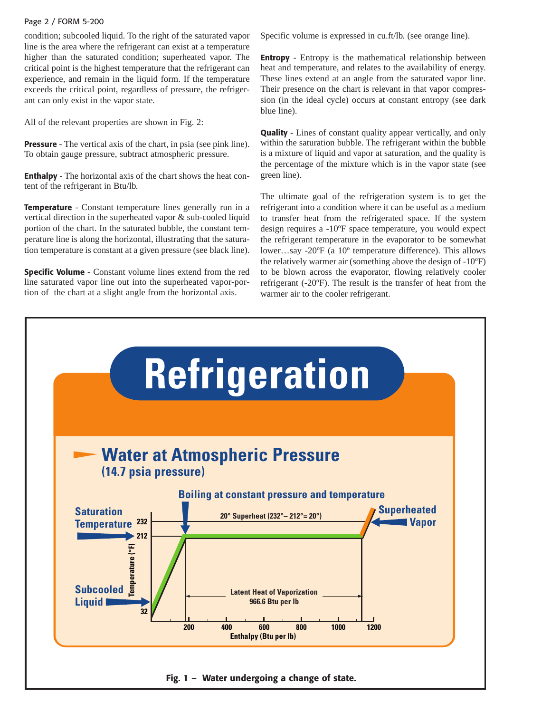## Page 2 / FORM 5-200

condition; subcooled liquid. To the right of the saturated vapor line is the area where the refrigerant can exist at a temperature higher than the saturated condition; superheated vapor. The critical point is the highest temperature that the refrigerant can experience, and remain in the liquid form. If the temperature exceeds the critical point, regardless of pressure, the refrigerant can only exist in the vapor state.

All of the relevant properties are shown in Fig. 2:

**Pressure** - The vertical axis of the chart, in psia (see pink line). To obtain gauge pressure, subtract atmospheric pressure.

**Enthalpy** - The horizontal axis of the chart shows the heat content of the refrigerant in Btu/lb.

**Temperature** - Constant temperature lines generally run in a vertical direction in the superheated vapor & sub-cooled liquid portion of the chart. In the saturated bubble, the constant temperature line is along the horizontal, illustrating that the saturation temperature is constant at a given pressure (see black line).

**Specific Volume** - Constant volume lines extend from the red line saturated vapor line out into the superheated vapor-portion of the chart at a slight angle from the horizontal axis.

Specific volume is expressed in cu.ft/lb. (see orange line).

**Entropy** - Entropy is the mathematical relationship between heat and temperature, and relates to the availability of energy. These lines extend at an angle from the saturated vapor line. Their presence on the chart is relevant in that vapor compression (in the ideal cycle) occurs at constant entropy (see dark blue line).

**Quality** - Lines of constant quality appear vertically, and only within the saturation bubble. The refrigerant within the bubble is a mixture of liquid and vapor at saturation, and the quality is the percentage of the mixture which is in the vapor state (see green line).

The ultimate goal of the refrigeration system is to get the refrigerant into a condition where it can be useful as a medium to transfer heat from the refrigerated space. If the system design requires a -10ºF space temperature, you would expect the refrigerant temperature in the evaporator to be somewhat lower…say -20ºF (a 10º temperature difference). This allows the relatively warmer air (something above the design of -10ºF) to be blown across the evaporator, flowing relatively cooler refrigerant (-20ºF). The result is the transfer of heat from the warmer air to the cooler refrigerant.

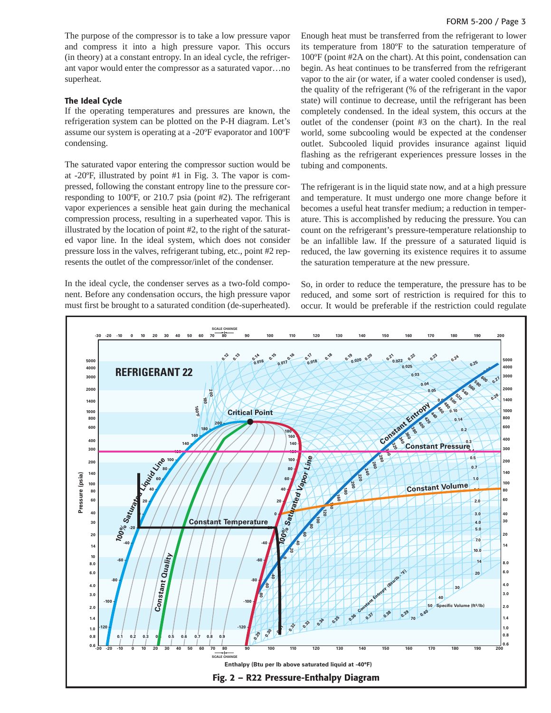The purpose of the compressor is to take a low pressure vapor and compress it into a high pressure vapor. This occurs (in theory) at a constant entropy. In an ideal cycle, the refrigerant vapor would enter the compressor as a saturated vapor…no superheat.

#### **The Ideal Cycle**

If the operating temperatures and pressures are known, the refrigeration system can be plotted on the P-H diagram. Let's assume our system is operating at a -20ºF evaporator and 100ºF condensing.

The saturated vapor entering the compressor suction would be at -20ºF, illustrated by point #1 in Fig. 3. The vapor is compressed, following the constant entropy line to the pressure corresponding to 100ºF, or 210.7 psia (point #2). The refrigerant vapor experiences a sensible heat gain during the mechanical compression process, resulting in a superheated vapor. This is illustrated by the location of point #2, to the right of the saturated vapor line. In the ideal system, which does not consider pressure loss in the valves, refrigerant tubing, etc., point #2 represents the outlet of the compressor/inlet of the condenser.

In the ideal cycle, the condenser serves as a two-fold component. Before any condensation occurs, the high pressure vapor must first be brought to a saturated condition (de-superheated).

Enough heat must be transferred from the refrigerant to lower its temperature from 180ºF to the saturation temperature of 100ºF (point #2A on the chart). At this point, condensation can begin. As heat continues to be transferred from the refrigerant vapor to the air (or water, if a water cooled condenser is used), the quality of the refrigerant (% of the refrigerant in the vapor state) will continue to decrease, until the refrigerant has been completely condensed. In the ideal system, this occurs at the outlet of the condenser (point #3 on the chart). In the real world, some subcooling would be expected at the condenser outlet. Subcooled liquid provides insurance against liquid flashing as the refrigerant experiences pressure losses in the tubing and components.

The refrigerant is in the liquid state now, and at a high pressure and temperature. It must undergo one more change before it becomes a useful heat transfer medium; a reduction in temperature. This is accomplished by reducing the pressure. You can count on the refrigerant's pressure-temperature relationship to be an infallible law. If the pressure of a saturated liquid is reduced, the law governing its existence requires it to assume the saturation temperature at the new pressure.

So, in order to reduce the temperature, the pressure has to be reduced, and some sort of restriction is required for this to occur. It would be preferable if the restriction could regulate

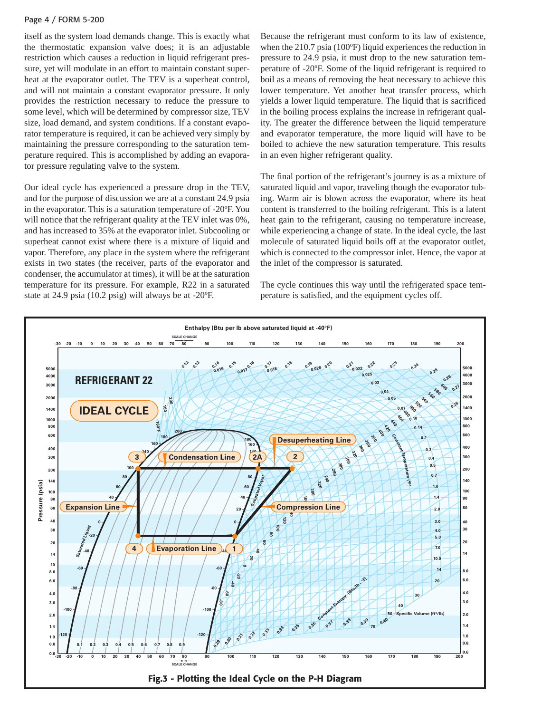### Page 4 / FORM 5-200

itself as the system load demands change. This is exactly what the thermostatic expansion valve does; it is an adjustable restriction which causes a reduction in liquid refrigerant pressure, yet will modulate in an effort to maintain constant superheat at the evaporator outlet. The TEV is a superheat control, and will not maintain a constant evaporator pressure. It only provides the restriction necessary to reduce the pressure to some level, which will be determined by compressor size, TEV size, load demand, and system conditions. If a constant evaporator temperature is required, it can be achieved very simply by maintaining the pressure corresponding to the saturation temperature required. This is accomplished by adding an evaporator pressure regulating valve to the system.

Our ideal cycle has experienced a pressure drop in the TEV, and for the purpose of discussion we are at a constant 24.9 psia in the evaporator. This is a saturation temperature of -20ºF. You will notice that the refrigerant quality at the TEV inlet was 0%, and has increased to 35% at the evaporator inlet. Subcooling or superheat cannot exist where there is a mixture of liquid and vapor. Therefore, any place in the system where the refrigerant exists in two states (the receiver, parts of the evaporator and condenser, the accumulator at times), it will be at the saturation temperature for its pressure. For example, R22 in a saturated state at 24.9 psia (10.2 psig) will always be at -20ºF.

Because the refrigerant must conform to its law of existence, when the 210.7 psia (100°F) liquid experiences the reduction in pressure to 24.9 psia, it must drop to the new saturation temperature of -20ºF. Some of the liquid refrigerant is required to boil as a means of removing the heat necessary to achieve this lower temperature. Yet another heat transfer process, which yields a lower liquid temperature. The liquid that is sacrificed in the boiling process explains the increase in refrigerant quality. The greater the difference between the liquid temperature and evaporator temperature, the more liquid will have to be boiled to achieve the new saturation temperature. This results in an even higher refrigerant quality.

The final portion of the refrigerant's journey is as a mixture of saturated liquid and vapor, traveling though the evaporator tubing. Warm air is blown across the evaporator, where its heat content is transferred to the boiling refrigerant. This is a latent heat gain to the refrigerant, causing no temperature increase, while experiencing a change of state. In the ideal cycle, the last molecule of saturated liquid boils off at the evaporator outlet, which is connected to the compressor inlet. Hence, the vapor at the inlet of the compressor is saturated.

The cycle continues this way until the refrigerated space temperature is satisfied, and the equipment cycles off.

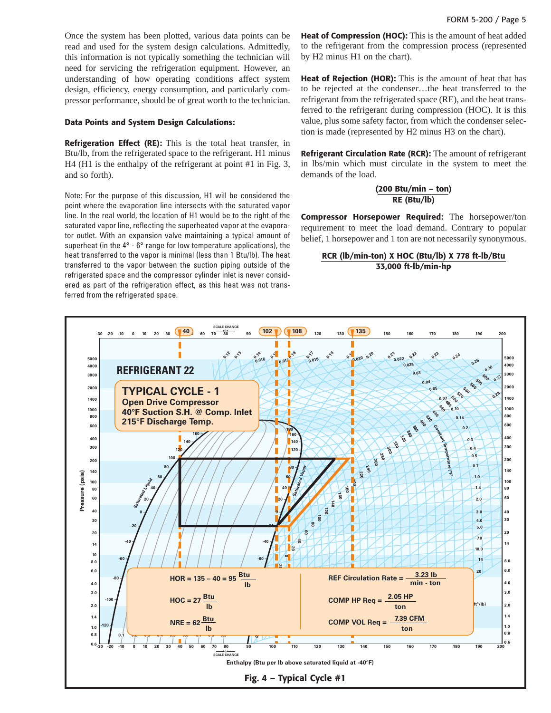Once the system has been plotted, various data points can be read and used for the system design calculations. Admittedly, this information is not typically something the technician will need for servicing the refrigeration equipment. However, an understanding of how operating conditions affect system design, efficiency, energy consumption, and particularly compressor performance, should be of great worth to the technician.

#### **Data Points and System Design Calculations:**

**Refrigeration Effect (RE):** This is the total heat transfer, in Btu/lb, from the refrigerated space to the refrigerant. H1 minus H4 (H1 is the enthalpy of the refrigerant at point #1 in Fig. 3, and so forth).

Note: For the purpose of this discussion, H1 will be considered the point where the evaporation line intersects with the saturated vapor line. In the real world, the location of H1 would be to the right of the saturated vapor line, reflecting the superheated vapor at the evaporator outlet. With an expansion valve maintaining a typical amount of superheat (in the 4° - 6° range for low temperature applications), the heat transferred to the vapor is minimal (less than 1 Btu/lb). The heat transferred to the vapor between the suction piping outside of the refrigerated space and the compressor cylinder inlet is never considered as part of the refrigeration effect, as this heat was not transferred from the refrigerated space.

**Heat of Compression (HOC):** This is the amount of heat added to the refrigerant from the compression process (represented by H2 minus H1 on the chart).

**Heat of Rejection (HOR):** This is the amount of heat that has to be rejected at the condenser…the heat transferred to the refrigerant from the refrigerated space (RE), and the heat transferred to the refrigerant during compression (HOC). It is this value, plus some safety factor, from which the condenser selection is made (represented by H2 minus H3 on the chart).

**Refrigerant Circulation Rate (RCR):** The amount of refrigerant in lbs/min which must circulate in the system to meet the demands of the load.

## **(200 Btu/min – ton) RE (Btu/lb)**

**Compressor Horsepower Required:** The horsepower/ton requirement to meet the load demand. Contrary to popular belief, 1 horsepower and 1 ton are not necessarily synonymous.

## **RCR (lb/min-ton) X HOC (Btu/lb) X 778 ft-lb/Btu 33,000 ft-lb/min-hp**

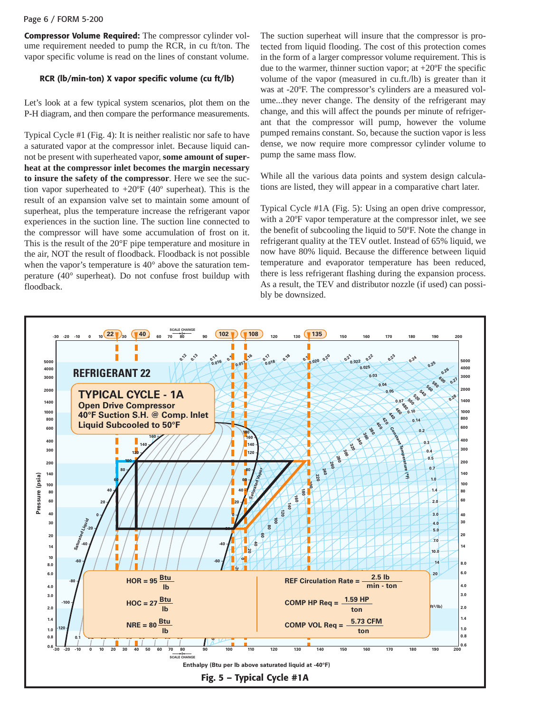## Page 6 / FORM 5-200

**Compressor Volume Required:** The compressor cylinder volume requirement needed to pump the RCR, in cu ft/ton. The vapor specific volume is read on the lines of constant volume.

## **RCR (lb/min-ton) X vapor specific volume (cu ft/lb)**

Let's look at a few typical system scenarios, plot them on the P-H diagram, and then compare the performance measurements.

Typical Cycle #1 (Fig. 4): It is neither realistic nor safe to have a saturated vapor at the compressor inlet. Because liquid cannot be present with superheated vapor, **some amount of superheat at the compressor inlet becomes the margin necessary to insure the safety of the compressor**. Here we see the suction vapor superheated to  $+20^{\circ}$ F (40° superheat). This is the result of an expansion valve set to maintain some amount of superheat, plus the temperature increase the refrigerant vapor experiences in the suction line. The suction line connected to the compressor will have some accumulation of frost on it. This is the result of the 20°F pipe temperature and mositure in the air, NOT the result of floodback. Floodback is not possible when the vapor's temperature is 40° above the saturation temperature (40° superheat). Do not confuse frost buildup with floodback.

The suction superheat will insure that the compressor is protected from liquid flooding. The cost of this protection comes in the form of a larger compressor volume requirement. This is due to the warmer, thinner suction vapor; at  $+20^{\circ}$ F the specific volume of the vapor (measured in cu.ft./lb) is greater than it was at -20ºF. The compressor's cylinders are a measured volume...they never change. The density of the refrigerant may change, and this will affect the pounds per minute of refrigerant that the compressor will pump, however the volume pumped remains constant. So, because the suction vapor is less dense, we now require more compressor cylinder volume to pump the same mass flow.

While all the various data points and system design calculations are listed, they will appear in a comparative chart later.

Typical Cycle #1A (Fig. 5): Using an open drive compressor, with a 20ºF vapor temperature at the compressor inlet, we see the benefit of subcooling the liquid to 50ºF. Note the change in refrigerant quality at the TEV outlet. Instead of 65% liquid, we now have 80% liquid. Because the difference between liquid temperature and evaporator temperature has been reduced, there is less refrigerant flashing during the expansion process. As a result, the TEV and distributor nozzle (if used) can possibly be downsized.

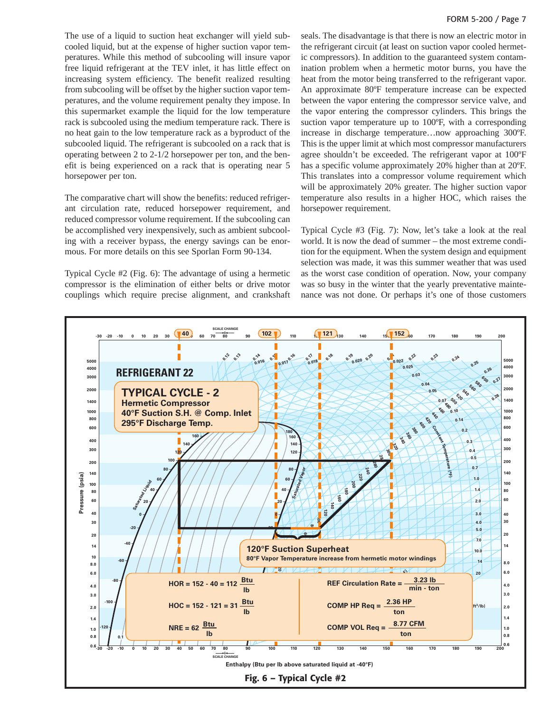The use of a liquid to suction heat exchanger will yield subcooled liquid, but at the expense of higher suction vapor temperatures. While this method of subcooling will insure vapor free liquid refrigerant at the TEV inlet, it has little effect on increasing system efficiency. The benefit realized resulting from subcooling will be offset by the higher suction vapor temperatures, and the volume requirement penalty they impose. In this supermarket example the liquid for the low temperature rack is subcooled using the medium temperature rack. There is no heat gain to the low temperature rack as a byproduct of the subcooled liquid. The refrigerant is subcooled on a rack that is operating between 2 to 2-1/2 horsepower per ton, and the benefit is being experienced on a rack that is operating near 5 horsepower per ton.

The comparative chart will show the benefits: reduced refrigerant circulation rate, reduced horsepower requirement, and reduced compressor volume requirement. If the subcooling can be accomplished very inexpensively, such as ambient subcooling with a receiver bypass, the energy savings can be enormous. For more details on this see Sporlan Form 90-134.

Typical Cycle #2 (Fig. 6): The advantage of using a hermetic compressor is the elimination of either belts or drive motor couplings which require precise alignment, and crankshaft

seals. The disadvantage is that there is now an electric motor in the refrigerant circuit (at least on suction vapor cooled hermetic compressors). In addition to the guaranteed system contamination problem when a hermetic motor burns, you have the heat from the motor being transferred to the refrigerant vapor. An approximate 80ºF temperature increase can be expected between the vapor entering the compressor service valve, and the vapor entering the compressor cylinders. This brings the suction vapor temperature up to 100ºF, with a corresponding increase in discharge temperature…now approaching 300ºF. This is the upper limit at which most compressor manufacturers agree shouldn't be exceeded. The refrigerant vapor at 100ºF has a specific volume approximately 20% higher than at 20ºF. This translates into a compressor volume requirement which will be approximately 20% greater. The higher suction vapor temperature also results in a higher HOC, which raises the horsepower requirement.

Typical Cycle #3 (Fig. 7): Now, let's take a look at the real world. It is now the dead of summer – the most extreme condition for the equipment. When the system design and equipment selection was made, it was this summer weather that was used as the worst case condition of operation. Now, your company was so busy in the winter that the yearly preventative maintenance was not done. Or perhaps it's one of those customers

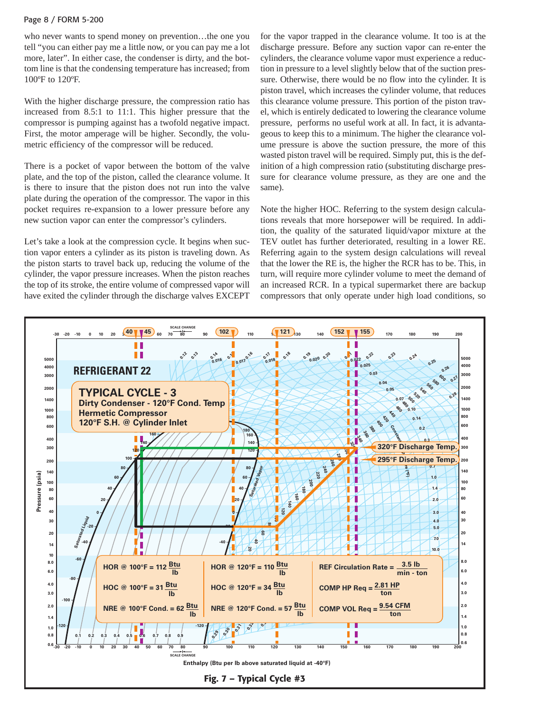## Page 8 / FORM 5-200

who never wants to spend money on prevention…the one you tell "you can either pay me a little now, or you can pay me a lot more, later". In either case, the condenser is dirty, and the bottom line is that the condensing temperature has increased; from 100ºF to 120ºF.

With the higher discharge pressure, the compression ratio has increased from 8.5:1 to 11:1. This higher pressure that the compressor is pumping against has a twofold negative impact. First, the motor amperage will be higher. Secondly, the volumetric efficiency of the compressor will be reduced.

There is a pocket of vapor between the bottom of the valve plate, and the top of the piston, called the clearance volume. It is there to insure that the piston does not run into the valve plate during the operation of the compressor. The vapor in this pocket requires re-expansion to a lower pressure before any new suction vapor can enter the compressor's cylinders.

Let's take a look at the compression cycle. It begins when suction vapor enters a cylinder as its piston is traveling down. As the piston starts to travel back up, reducing the volume of the cylinder, the vapor pressure increases. When the piston reaches the top of its stroke, the entire volume of compressed vapor will have exited the cylinder through the discharge valves EXCEPT for the vapor trapped in the clearance volume. It too is at the discharge pressure. Before any suction vapor can re-enter the cylinders, the clearance volume vapor must experience a reduction in pressure to a level slightly below that of the suction pressure. Otherwise, there would be no flow into the cylinder. It is piston travel, which increases the cylinder volume, that reduces this clearance volume pressure. This portion of the piston travel, which is entirely dedicated to lowering the clearance volume pressure, performs no useful work at all. In fact, it is advantageous to keep this to a minimum. The higher the clearance volume pressure is above the suction pressure, the more of this wasted piston travel will be required. Simply put, this is the definition of a high compression ratio (substituting discharge pressure for clearance volume pressure, as they are one and the same).

Note the higher HOC. Referring to the system design calculations reveals that more horsepower will be required. In addition, the quality of the saturated liquid/vapor mixture at the TEV outlet has further deteriorated, resulting in a lower RE. Referring again to the system design calculations will reveal that the lower the RE is, the higher the RCR has to be. This, in turn, will require more cylinder volume to meet the demand of an increased RCR. In a typical supermarket there are backup compressors that only operate under high load conditions, so

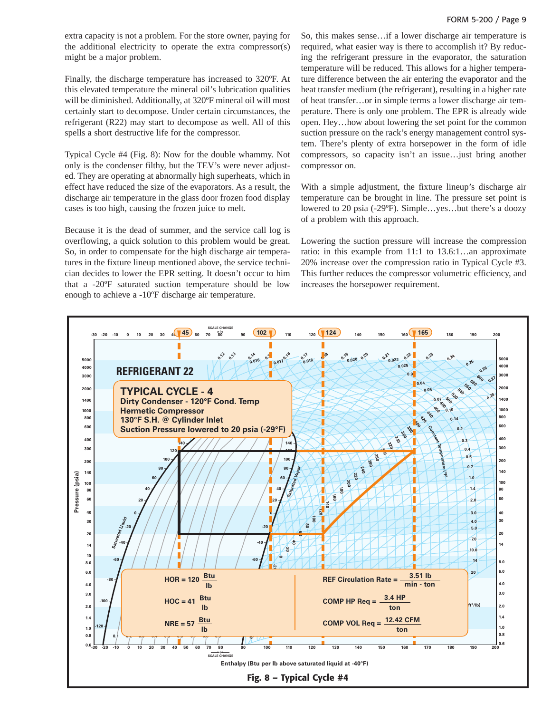extra capacity is not a problem. For the store owner, paying for the additional electricity to operate the extra compressor(s) might be a major problem.

Finally, the discharge temperature has increased to 320ºF. At this elevated temperature the mineral oil's lubrication qualities will be diminished. Additionally, at 320ºF mineral oil will most certainly start to decompose. Under certain circumstances, the refrigerant (R22) may start to decompose as well. All of this spells a short destructive life for the compressor.

Typical Cycle #4 (Fig. 8): Now for the double whammy. Not only is the condenser filthy, but the TEV's were never adjusted. They are operating at abnormally high superheats, which in effect have reduced the size of the evaporators. As a result, the discharge air temperature in the glass door frozen food display cases is too high, causing the frozen juice to melt.

Because it is the dead of summer, and the service call log is overflowing, a quick solution to this problem would be great. So, in order to compensate for the high discharge air temperatures in the fixture lineup mentioned above, the service technician decides to lower the EPR setting. It doesn't occur to him that a -20ºF saturated suction temperature should be low enough to achieve a -10ºF discharge air temperature.

So, this makes sense…if a lower discharge air temperature is required, what easier way is there to accomplish it? By reducing the refrigerant pressure in the evaporator, the saturation temperature will be reduced. This allows for a higher temperature difference between the air entering the evaporator and the heat transfer medium (the refrigerant), resulting in a higher rate of heat transfer…or in simple terms a lower discharge air temperature. There is only one problem. The EPR is already wide open. Hey…how about lowering the set point for the common suction pressure on the rack's energy management control system. There's plenty of extra horsepower in the form of idle compressors, so capacity isn't an issue…just bring another compressor on.

With a simple adjustment, the fixture lineup's discharge air temperature can be brought in line. The pressure set point is lowered to 20 psia (-29ºF). Simple…yes…but there's a doozy of a problem with this approach.

Lowering the suction pressure will increase the compression ratio: in this example from 11:1 to 13.6:1…an approximate 20% increase over the compression ratio in Typical Cycle #3. This further reduces the compressor volumetric efficiency, and increases the horsepower requirement.

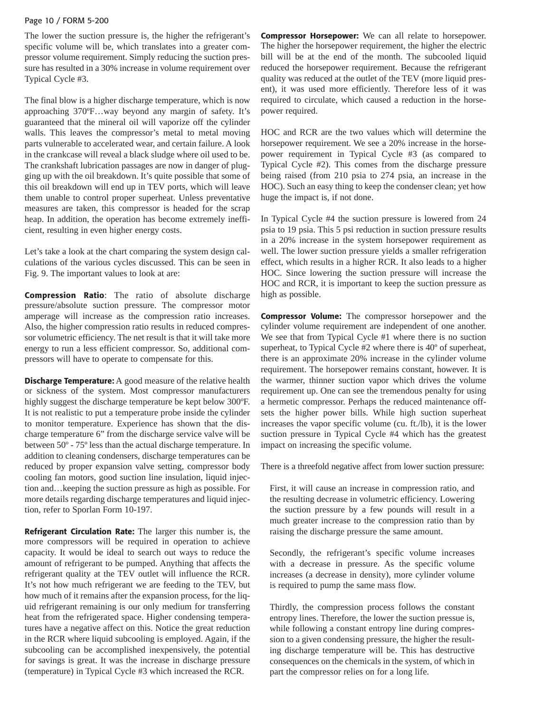#### Page 10 / FORM 5-200

The lower the suction pressure is, the higher the refrigerant's specific volume will be, which translates into a greater compressor volume requirement. Simply reducing the suction pressure has resulted in a 30% increase in volume requirement over Typical Cycle #3.

The final blow is a higher discharge temperature, which is now approaching 370ºF…way beyond any margin of safety. It's guaranteed that the mineral oil will vaporize off the cylinder walls. This leaves the compressor's metal to metal moving parts vulnerable to accelerated wear, and certain failure. A look in the crankcase will reveal a black sludge where oil used to be. The crankshaft lubrication passages are now in danger of plugging up with the oil breakdown. It's quite possible that some of this oil breakdown will end up in TEV ports, which will leave them unable to control proper superheat. Unless preventative measures are taken, this compressor is headed for the scrap heap. In addition, the operation has become extremely inefficient, resulting in even higher energy costs.

Let's take a look at the chart comparing the system design calculations of the various cycles discussed. This can be seen in Fig. 9. The important values to look at are:

**Compression Ratio**: The ratio of absolute discharge pressure/absolute suction pressure. The compressor motor amperage will increase as the compression ratio increases. Also, the higher compression ratio results in reduced compressor volumetric efficiency. The net result is that it will take more energy to run a less efficient compressor. So, additional compressors will have to operate to compensate for this.

**Discharge Temperature:** A good measure of the relative health or sickness of the system. Most compressor manufacturers highly suggest the discharge temperature be kept below 300ºF. It is not realistic to put a temperature probe inside the cylinder to monitor temperature. Experience has shown that the discharge temperature 6" from the discharge service valve will be between 50º - 75º less than the actual discharge temperature. In addition to cleaning condensers, discharge temperatures can be reduced by proper expansion valve setting, compressor body cooling fan motors, good suction line insulation, liquid injection and…keeping the suction pressure as high as possible. For more details regarding discharge temperatures and liquid injection, refer to Sporlan Form 10-197.

**Refrigerant Circulation Rate:** The larger this number is, the more compressors will be required in operation to achieve capacity. It would be ideal to search out ways to reduce the amount of refrigerant to be pumped. Anything that affects the refrigerant quality at the TEV outlet will influence the RCR. It's not how much refrigerant we are feeding to the TEV, but how much of it remains after the expansion process, for the liquid refrigerant remaining is our only medium for transferring heat from the refrigerated space. Higher condensing temperatures have a negative affect on this. Notice the great reduction in the RCR where liquid subcooling is employed. Again, if the subcooling can be accomplished inexpensively, the potential for savings is great. It was the increase in discharge pressure (temperature) in Typical Cycle #3 which increased the RCR.

**Compressor Horsepower:** We can all relate to horsepower. The higher the horsepower requirement, the higher the electric bill will be at the end of the month. The subcooled liquid reduced the horsepower requirement. Because the refrigerant quality was reduced at the outlet of the TEV (more liquid present), it was used more efficiently. Therefore less of it was required to circulate, which caused a reduction in the horsepower required.

HOC and RCR are the two values which will determine the horsepower requirement. We see a 20% increase in the horsepower requirement in Typical Cycle #3 (as compared to Typical Cycle #2). This comes from the discharge pressure being raised (from 210 psia to 274 psia, an increase in the HOC). Such an easy thing to keep the condenser clean; yet how huge the impact is, if not done.

In Typical Cycle #4 the suction pressure is lowered from 24 psia to 19 psia. This 5 psi reduction in suction pressure results in a 20% increase in the system horsepower requirement as well. The lower suction pressure yields a smaller refrigeration effect, which results in a higher RCR. It also leads to a higher HOC. Since lowering the suction pressure will increase the HOC and RCR, it is important to keep the suction pressure as high as possible.

**Compressor Volume:** The compressor horsepower and the cylinder volume requirement are independent of one another. We see that from Typical Cycle #1 where there is no suction superheat, to Typical Cycle #2 where there is 40º of superheat, there is an approximate 20% increase in the cylinder volume requirement. The horsepower remains constant, however. It is the warmer, thinner suction vapor which drives the volume requirement up. One can see the tremendous penalty for using a hermetic compressor. Perhaps the reduced maintenance offsets the higher power bills. While high suction superheat increases the vapor specific volume (cu. ft./lb), it is the lower suction pressure in Typical Cycle #4 which has the greatest impact on increasing the specific volume.

There is a threefold negative affect from lower suction pressure:

First, it will cause an increase in compression ratio, and the resulting decrease in volumetric efficiency. Lowering the suction pressure by a few pounds will result in a much greater increase to the compression ratio than by raising the discharge pressure the same amount.

Secondly, the refrigerant's specific volume increases with a decrease in pressure. As the specific volume increases (a decrease in density), more cylinder volume is required to pump the same mass flow.

Thirdly, the compression process follows the constant entropy lines. Therefore, the lower the suction pressue is, while following a constant entropy line during compression to a given condensing pressure, the higher the resulting discharge temperature will be. This has destructive consequences on the chemicals in the system, of which in part the compressor relies on for a long life.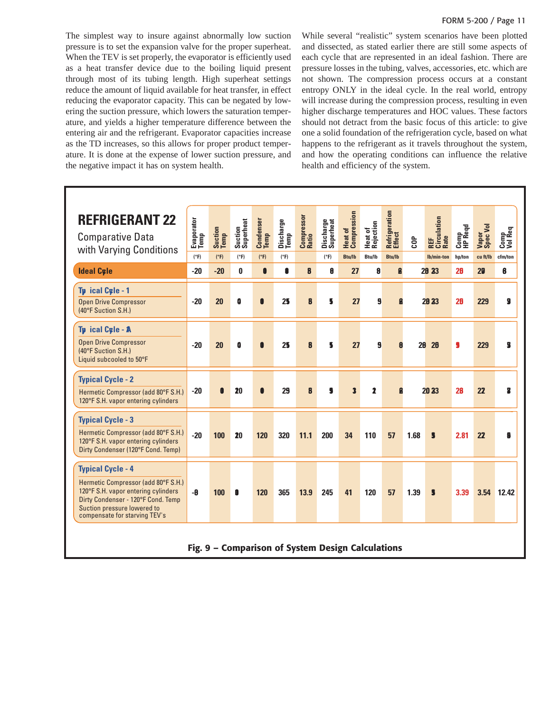#### FORM 5-200 / Page 11

| The simplest way to insure against abnormally low suction<br>pressure is to set the expansion valve for the proper superheat.<br>When the TEV is set properly, the evaporator is efficiently used<br>as a heat transfer device due to the boiling liquid present<br>hrough most of its tubing length. High superheat settings<br>reduce the amount of liquid available for heat transfer, in effect<br>educing the evaporator capacity. This can be negated by low-<br>ering the suction pressure, which lowers the saturation temper-<br>ature, and yields a higher temperature difference between the<br>entering air and the refrigerant. Evaporator capacities increase |                    |                 |                      |                   |                   |                     |                        |                               |                                      |                         |           |                                                                                                                                                                                                                                                                                                                                                                                                                                                                                                                                                                                                                                                                                                                                                                                                           |                        |                   |                      |  |
|-----------------------------------------------------------------------------------------------------------------------------------------------------------------------------------------------------------------------------------------------------------------------------------------------------------------------------------------------------------------------------------------------------------------------------------------------------------------------------------------------------------------------------------------------------------------------------------------------------------------------------------------------------------------------------|--------------------|-----------------|----------------------|-------------------|-------------------|---------------------|------------------------|-------------------------------|--------------------------------------|-------------------------|-----------|-----------------------------------------------------------------------------------------------------------------------------------------------------------------------------------------------------------------------------------------------------------------------------------------------------------------------------------------------------------------------------------------------------------------------------------------------------------------------------------------------------------------------------------------------------------------------------------------------------------------------------------------------------------------------------------------------------------------------------------------------------------------------------------------------------------|------------------------|-------------------|----------------------|--|
|                                                                                                                                                                                                                                                                                                                                                                                                                                                                                                                                                                                                                                                                             |                    |                 |                      |                   |                   |                     |                        |                               |                                      |                         |           |                                                                                                                                                                                                                                                                                                                                                                                                                                                                                                                                                                                                                                                                                                                                                                                                           |                        |                   | FORM 5-200 / Page 11 |  |
| as the TD increases, so this allows for proper product temper-<br>ature. It is done at the expense of lower suction pressure, and<br>the negative impact it has on system health.                                                                                                                                                                                                                                                                                                                                                                                                                                                                                           |                    |                 |                      |                   |                   |                     |                        |                               | health and efficiency of the system. |                         |           | While several "realistic" system scenarios have been plotted<br>and dissected, as stated earlier there are still some aspects o<br>each cycle that are represented in an ideal fashion. There are<br>pressure losses in the tubing, valves, accessories, etc. which are<br>not shown. The compression process occurs at a constan<br>entropy ONLY in the ideal cycle. In the real world, entropy<br>will increase during the compression process, resulting in even<br>higher discharge temperatures and HOC values. These factor<br>should not detract from the basic focus of this article: to give<br>one a solid foundation of the refrigeration cycle, based on wha<br>happens to the refrigerant as it travels throughout the system<br>and how the operating conditions can influence the relative |                        |                   |                      |  |
|                                                                                                                                                                                                                                                                                                                                                                                                                                                                                                                                                                                                                                                                             |                    |                 |                      |                   |                   |                     |                        |                               |                                      |                         |           |                                                                                                                                                                                                                                                                                                                                                                                                                                                                                                                                                                                                                                                                                                                                                                                                           |                        |                   |                      |  |
| <b>REFRIGERANT 22</b><br><b>Comparative Data</b><br>with Varying Conditions                                                                                                                                                                                                                                                                                                                                                                                                                                                                                                                                                                                                 | Evaporator<br>Temp | Suction<br>Temp | Suction<br>Superheat | Condenser<br>Temp | Discharge<br>Temp | Compressor<br>Ratio | Discharge<br>Superheat | Compression<br><b>Heat of</b> | Rejection<br>Heat of                 | Refrigeration<br>Effect | <b>GD</b> | Circulation<br>Rate<br>REF                                                                                                                                                                                                                                                                                                                                                                                                                                                                                                                                                                                                                                                                                                                                                                                | <b>HP Reqd</b><br>Comp | Vapor<br>Spec Vol | Comp<br>Vol Req      |  |
|                                                                                                                                                                                                                                                                                                                                                                                                                                                                                                                                                                                                                                                                             | (°F)<br>$-20$      | (°F)            | (°F)                 | (°F)              |                   |                     |                        |                               |                                      |                         |           |                                                                                                                                                                                                                                                                                                                                                                                                                                                                                                                                                                                                                                                                                                                                                                                                           |                        |                   |                      |  |
|                                                                                                                                                                                                                                                                                                                                                                                                                                                                                                                                                                                                                                                                             |                    | $-20$           |                      |                   | (°F)              |                     | (°F)                   | Btu/lb                        | Btu/lb                               | Btu/lb                  |           | lb/min-ton                                                                                                                                                                                                                                                                                                                                                                                                                                                                                                                                                                                                                                                                                                                                                                                                | hp/ton                 | cu ft/lb          | cfm/ton              |  |
| <b>Ideal Cyle</b>                                                                                                                                                                                                                                                                                                                                                                                                                                                                                                                                                                                                                                                           |                    |                 | 0                    |                   |                   | 8                   | 8                      | 27                            | 8                                    |                         |           | 28 23                                                                                                                                                                                                                                                                                                                                                                                                                                                                                                                                                                                                                                                                                                                                                                                                     | 20                     | 20                | 8                    |  |
| Tp ical Cyle - 1<br><b>Open Drive Compressor</b><br>(40°F Suction S.H.)                                                                                                                                                                                                                                                                                                                                                                                                                                                                                                                                                                                                     | $-20$              | 20              | O                    | $\bullet$         | 25                | 8                   | 5                      | 27                            | 9                                    | $\mathbf{a}$            |           | 28 23                                                                                                                                                                                                                                                                                                                                                                                                                                                                                                                                                                                                                                                                                                                                                                                                     | 20                     | 229               | 9                    |  |
| Tp ical Cyle - A<br><b>Open Drive Compressor</b><br>(40°F Suction S.H.)<br>Liquid subcooled to 50°F                                                                                                                                                                                                                                                                                                                                                                                                                                                                                                                                                                         | $-20$              | 20              | O                    | $\bullet$         | 25                | 8                   | 5                      | 27                            | 9                                    | $\theta$                |           | $20 \quad 20$                                                                                                                                                                                                                                                                                                                                                                                                                                                                                                                                                                                                                                                                                                                                                                                             | 9                      | 229               | 3                    |  |
| <b>Typical Cycle - 2</b><br>Hermetic Compressor (add 80°F S.H.)<br>120°F S.H. vapor entering cylinders                                                                                                                                                                                                                                                                                                                                                                                                                                                                                                                                                                      | -20                | $\bullet$       | 20                   |                   | 29                | 8                   | 9                      | $\mathbf{3}$                  | 2                                    | $\mathbf{B}$            |           | 20 23                                                                                                                                                                                                                                                                                                                                                                                                                                                                                                                                                                                                                                                                                                                                                                                                     | 28                     | 22                | 8                    |  |
| <b>Typical Cycle - 3</b><br>Hermetic Compressor (add 80°F S.H.)<br>120°F S.H. vapor entering cylinders<br>Dirty Condenser (120°F Cond. Temp)                                                                                                                                                                                                                                                                                                                                                                                                                                                                                                                                | $-20$              | 100             | 20                   | 120               | 320               | 11.1                | 200                    | 34                            | 110                                  | 57                      | 1.68      | 5                                                                                                                                                                                                                                                                                                                                                                                                                                                                                                                                                                                                                                                                                                                                                                                                         | 2.81                   | 22                | 0                    |  |